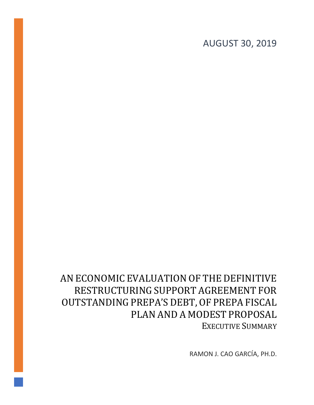# AUGUST 30, 2019

# AN ECONOMIC EVALUATION OF THE DEFINITIVE RESTRUCTURING SUPPORT AGREEMENT FOR OUTSTANDING PREPA'S DEBT, OF PREPA FISCAL PLAN AND A MODEST PROPOSAL EXECUTIVE SUMMARY

RAMON J. CAO GARCÍA, PH.D.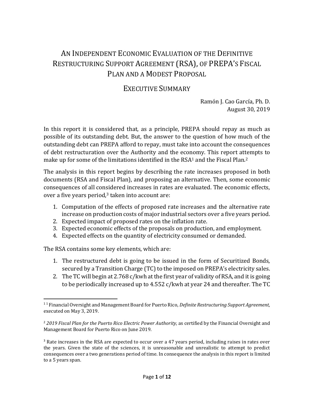# AN INDEPENDENT ECONOMIC EVALUATION OF THE DEFINITIVE RESTRUCTURING SUPPORT AGREEMENT (RSA), OF PREPA'S FISCAL PLAN AND A MODEST PROPOSAL

# EXECUTIVE SUMMARY

Ramón J. Cao García, Ph. D. August 30, 2019

In this report it is considered that, as a principle, PREPA should repay as much as possible of its outstanding debt. But, the answer to the question of how much of the outstanding debt can PREPA afford to repay, must take into account the consequences of debt restructuration over the Authority and the economy. This report attempts to make up for some of the limitations identified in the RSA<sup>1</sup> and the Fiscal Plan.<sup>2</sup>

The analysis in this report begins by describing the rate increases proposed in both documents (RSA and Fiscal Plan), and proposing an alternative. Then, some economic consequences of all considered increases in rates are evaluated. The economic effects, over a five years period, $3$  taken into account are:

- 1. Computation of the effects of proposed rate increases and the alternative rate increase on production costs of major industrial sectors over a five years period.
- 2. Expected impact of proposed rates on the inflation rate.
- 3. Expected economic effects of the proposals on production, and employment.
- 4. Expected effects on the quantity of electricity consumed or demanded.

The RSA contains some key elements, which are:

- 1. The restructured debt is going to be issued in the form of Securitized Bonds, secured by a Transition Charge (TC) to the imposed on PREPA's electricity sales.
- 2. The TC will begin at 2.768 c/kwh at the first year of validity of RSA, and it is going to be periodically increased up to 4.552 c/kwh at year 24 and thereafter. The TC

<sup>1</sup> <sup>1</sup> Financial Oversight and Management Board for Puerto Rico, *Definite Restructuring Support Agreement,* executed on May 3, 2019.

<sup>&</sup>lt;sup>2</sup> 2019 Fiscal Plan for the Puerto Rico Electric Power Authority, as certified by the Financial Oversight and Management Board for Puerto Rico on June 2019.

<sup>&</sup>lt;sup>3</sup> Rate increases in the RSA are expected to occur over a 47 years period, including raises in rates over the years. Given the state of the sciences, it is unreasonable and unrealistic to attempt to predict consequences over a two generations period of time. In consequence the analysis in this report is limited to a 5 years span.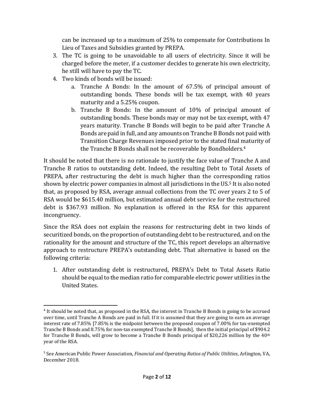can be increased up to a maximum of 25% to compensate for Contributions In Lieu of Taxes and Subsidies granted by PREPA.

- 3. The TC is going to be unavoidable to all users of electricity. Since it will be charged before the meter, if a customer decides to generate his own electricity, he still will have to pay the TC.
- 4. Two kinds of bonds will be issued:
	- a. Tranche A Bonds: In the amount of 67.5% of principal amount of outstanding bonds. These bonds will be tax exempt, with 40 years maturity and a 5.25% coupon.
	- b. Tranche B Bonds: In the amount of 10% of principal amount of outstanding bonds. These bonds may or may not be tax exempt, with 47 years maturity. Tranche B Bonds will begin to be paid after Tranche A Bonds are paid in full, and any amounts on Tranche B Bonds not paid with Transition Charge Revenues imposed prior to the stated final maturity of the Tranche B Bonds shall not be recoverable by Bondholders.<sup>4</sup>

It should be noted that there is no rationale to justify the face value of Tranche A and Tranche B ratios to outstanding debt. Indeed, the resulting Debt to Total Assets of PREPA, after restructuring the debt is much higher than the corresponding ratios shown by electric power companies in almost all jurisdictions in the US.<sup>5</sup> It is also noted that, as proposed by RSA, average annual collections from the TC over years 2 to 5 of RSA would be \$615.40 million, but estimated annual debt service for the restructured debt is \$367.93 million. No explanation is offered in the RSA for this apparent incongruency.

Since the RSA does not explain the reasons for restructuring debt in two kinds of securitized bonds, on the proportion of outstanding debt to be restructured, and on the rationality for the amount and structure of the TC, this report develops an alternative approach to restructure PREPA's outstanding debt. That alternative is based on the following criteria:

1. After outstanding debt is restructured, PREPA's Debt to Total Assets Ratio should be equal to the median ratio for comparable electric power utilities in the United States.

<sup>4</sup> It should be noted that, as proposed in the RSA, the interest in Tranche B Bonds is going to be accrued over time, until Tranche A Bonds are paid in full. If it is assumed that they are going to earn an average interest rate of 7.85% [7.85% is the midpoint between the proposed coupon of 7.00% for tax-exempted Tranche B Bonds and 8.75% for non-tax exempted Tranche B Bonds], then the initial principal of \$904.2 for Tranche B Bonds, will grow to become a Tranche B Bonds principal of \$20,226 million by the  $40<sup>th</sup>$ year of the RSA.

<sup>5</sup> See American Public Power Association, *Financial and Operating Ratios of Public Utilities*, Arlington, VA, December 2018.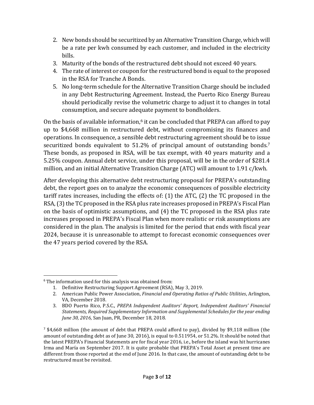- 2. New bonds should be securitized by an Alternative Transition Charge, which will be a rate per kwh consumed by each customer, and included in the electricity bills.
- 3. Maturity of the bonds of the restructured debt should not exceed 40 years.
- 4. The rate of interest or coupon for the restructured bond is equal to the proposed in the RSA for Tranche A Bonds.
- 5. No long-term schedule for the Alternative Transition Charge should be included in any Debt Restructuring Agreement. Instead, the Puerto Rico Energy Bureau should periodically revise the volumetric charge to adjust it to changes in total consumption, and secure adequate payment to bondholders.

On the basis of available information, $6$  it can be concluded that PREPA can afford to pay up to \$4,668 million in restructured debt, without compromising its finances and operations. In consequence, a sensible debt restructuring agreement should be to issue securitized bonds equivalent to 51.2% of principal amount of outstanding bonds.<sup>7</sup> These bonds, as proposed in RSA, will be tax exempt, with 40 years maturity and a 5.25% coupon. Annual debt service, under this proposal, will be in the order of \$281.4 million, and an initial Alternative Transition Charge (ATC) will amount to 1.91 c/kwh.

After developing this alternative debt restructuring proposal for PREPA's outstanding debt, the report goes on to analyze the economic consequences of possible electricity tariff rates increases, including the effects of: (1) the ATC, (2) the TC proposed in the RSA, (3) the TC proposed in the RSA plus rate increases proposed in PREPA's Fiscal Plan on the basis of optimistic assumptions, and (4) the TC proposed in the RSA plus rate increases proposed in PREPA's Fiscal Plan when more realistic or risk assumptions are considered in the plan. The analysis is limited for the period that ends with fiscal year 2024, because it is unreasonable to attempt to forecast economic consequences over the 47 years period covered by the RSA.

<sup>6</sup> The information used for this analysis was obtained from:

<sup>1.</sup> Definitive Restructuring Support Agreement (RSA), May 3, 2019.

<sup>2.</sup> American Public Power Association, *Financial and Operating Ratios of Public Utilities*, Arlington, VA, December 2018.

<sup>3.</sup> BDO Puerto Rico, P.S.C., *PREPA Independent Auditors' Report, Independent Auditors' Financial Statements, Required Supplementary Information and Supplemental Schedules for the year ending June 30, 2016*, San Juan, PR, December 18, 2018.

 $^7$  \$4,668 million (the amount of debt that PREPA could afford to pay), divided by \$9,118 million (the amount of outstanding debt as of June 30, 2016), is equal to 0.511954, or 51.2%. It should be noted that the latest PREPA's Financial Statements are for fiscal year 2016, i.e., before the island was hit hurricanes Irma and María on September 2017. It is quite probable that PREPA's Total Asset at present time are different from those reported at the end of June 2016. In that case, the amount of outstanding debt to be restructured must be revisited.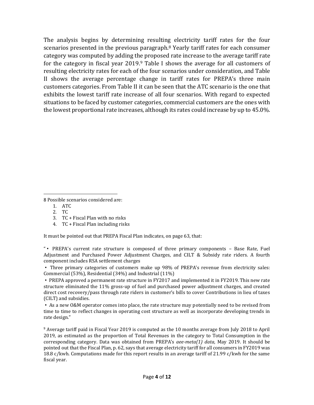The analysis begins by determining resulting electricity tariff rates for the four scenarios presented in the previous paragraph.<sup>8</sup> Yearly tariff rates for each consumer category was computed by adding the proposed rate increase to the average tariff rate for the category in fiscal year 2019.<sup>9</sup> Table I shows the average for all customers of resulting electricity rates for each of the four scenarios under consideration, and Table II shows the average percentage change in tariff rates for PREPA's three main customers categories. From Table II it can be seen that the ATC scenario is the one that exhibits the lowest tariff rate increase of all four scenarios. With regard to expected situations to be faced by customer categories, commercial customers are the ones with the lowest proportional rate increases, although its rates could increase by up to 45.0%.

8 Possible scenarios considered are:

- 1. ATC
- 2. TC
- 3. TC + Fiscal Plan with no risks
- 4. TC + Fiscal Plan including risks

It must be pointed out that PREPA Fiscal Plan indicates, on page 63, that:

"▪ PREPA's current rate structure is composed of three primary components – Base Rate, Fuel Adjustment and Purchased Power Adjustment Charges, and CILT & Subsidy rate riders. A fourth component includes RSA settlement charges

▪ Three primary categories of customers make up 98% of PREPA's revenue from electricity sales: Commercial (53%), Residential (34%) and Industrial (11%)

▪ PREPA approved a permanent rate structure in FY2017 and implemented it in FY2019. This new rate structure eliminated the 11% gross-up of fuel and purchased power adjustment charges, and created direct cost recovery/pass through rate riders in customer's bills to cover Contributions in lieu of taxes (CILT) and subsidies.

▪ As a new O&M operator comes into place, the rate structure may potentially need to be revised from time to time to reflect changes in operating cost structure as well as incorporate developing trends in rate design."

<sup>9</sup> Average tariff paid in Fiscal Year 2019 is computed as the 10 months average from July 2018 to April 2019, as estimated as the proportion of Total Revenues in the category to Total Consumption in the corresponding category. Data was obtained from PREPA's *aee-meta(1) data,* May 2019. It should be pointed out that the Fiscal Plan, p. 62, says that average electricity tariff for all consumers in FY2019 was 18.8 c/kwh. Computations made for this report results in an average tariff of 21.99 c/kwh for the same fiscal year.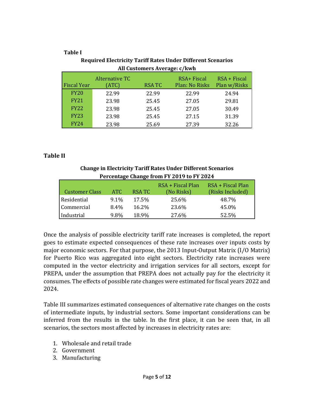#### **Table I**

| All Customers Average: c/kwh |                                |              |                                      |                                |  |  |  |  |
|------------------------------|--------------------------------|--------------|--------------------------------------|--------------------------------|--|--|--|--|
| <b>Fiscal Year</b>           | <b>Alternative TC</b><br>(ATC) | <b>RSATC</b> | RSA+ Fiscal<br><b>Plan: No Risks</b> | $RSA + Fiscal$<br>Plan w/Risks |  |  |  |  |
| <b>FY20</b>                  | 22.99                          | 22.99        | 22.99                                | 24.94                          |  |  |  |  |
| <b>FY21</b>                  | 23.98                          | 25.45        | 27.05                                | 29.81                          |  |  |  |  |
| <b>FY22</b>                  | 23.98                          | 25.45        | 27.05                                | 30.49                          |  |  |  |  |
| <b>FY23</b>                  | 23.98                          | 25.45        | 27.15                                | 31.39                          |  |  |  |  |
| <b>FY24</b>                  | 23.98                          | 25.69        | 27.39                                | 32.26                          |  |  |  |  |

## **Required Electricity Tariff Rates Under Different Scenarios All Customers Average: c/kwh**

## **Table II**

**Change in Electricity Tariff Rates Under Different Scenarios Percentage Change from FY 2019 to FY 2024**

| <b>Customer Class</b> | ATC.    | RSA TC   | RSA + Fiscal Plan<br>(No Risks) | RSA + Fiscal Plan<br>(Risks Included) |
|-----------------------|---------|----------|---------------------------------|---------------------------------------|
| Residential           | $9.1\%$ | 17.5%    | 25.6%                           | 48.7%                                 |
| Commercial            | 8.4%    | $16.2\%$ | 23.6%                           | 45.0%                                 |
| Industrial            | 9.8%    | 18.9%    | 27.6%                           | 52.5%                                 |

Once the analysis of possible electricity tariff rate increases is completed, the report goes to estimate expected consequences of these rate increases over inputs costs by major economic sectors. For that purpose, the 2013 Input-Output Matrix (I/O Matrix) for Puerto Rico was aggregated into eight sectors. Electricity rate increases were computed in the vector electricity and irrigation services for all sectors, except for PREPA, under the assumption that PREPA does not actually pay for the electricity it consumes. The effects of possible rate changes were estimated for fiscal years 2022 and 2024.

Table III summarizes estimated consequences of alternative rate changes on the costs of intermediate inputs, by industrial sectors. Some important considerations can be inferred from the results in the table. In the first place, it can be seen that, in all scenarios, the sectors most affected by increases in electricity rates are:

- 1. Wholesale and retail trade
- 2. Government
- 3. Manufacturing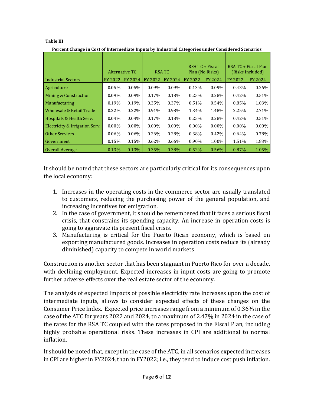#### **Table III**

**Percent Change in Cost of Intermediate Inputs by Industrial Categories under Considered Scenarios**

|                                |          |                |                |                |                 | RSA TC + Fiscal |                  | RSA TC + Fiscal Plan |
|--------------------------------|----------|----------------|----------------|----------------|-----------------|-----------------|------------------|----------------------|
|                                |          | Alternative TC | <b>RSATC</b>   |                | Plan (No Risks) |                 | (Risks Included) |                      |
| <b>Industrial Sectors</b>      | FY 2022  | <b>FY 2024</b> | <b>FY 2022</b> | <b>FY 2024</b> | FY 2022         | <b>FY 2024</b>  | <b>FY 2022</b>   | FY 2024              |
| Agriculture                    | 0.05%    | 0.05%          | $0.09\%$       | $0.09\%$       | 0.13%           | $0.09\%$        | 0.43%            | $0.26\%$             |
| Mining & Construction          | 0.09%    | $0.09\%$       | 0.17%          | 0.18%          | 0.25%           | 0.28%           | 0.42%            | 0.51%                |
| Manufacturing                  | 0.19%    | 0.19%          | 0.35%          | 0.37%          | 0.51%           | 0.54%           | 0.85%            | 1.03%                |
| Wholesale & Retail Trade       | 0.22%    | 0.22%          | 0.91%          | 0.98%          | 1.34%           | 1.48%           | 2.25%            | 2.71%                |
| Hospitals & Health Serv.       | $0.04\%$ | 0.04%          | 0.17%          | 0.18%          | 0.25%           | 0.28%           | 0.42%            | 0.51%                |
| Electricity & Irrigation Serv. | $0.00\%$ | $0.00\%$       | $0.00\%$       | $0.00\%$       | $0.00\%$        | $0.00\%$        | $0.00\%$         | $0.00\%$             |
| <b>Other Services</b>          | $0.06\%$ | $0.06\%$       | 0.26%          | 0.28%          | 0.38%           | 0.42%           | 0.64%            | 0.78%                |
| Government                     | 0.15%    | 0.15%          | 0.62%          | $0.66\%$       | 0.90%           | 1.00%           | 1.51%            | 1.83%                |
| <b>Overall Average</b>         | 0.13%    | 0.13%          | 0.35%          | 0.38%          | 0.52%           | $0.56\%$        | 0.87%            | 1.05%                |

It should be noted that these sectors are particularly critical for its consequences upon the local economy:

- 1. Increases in the operating costs in the commerce sector are usually translated to customers, reducing the purchasing power of the general population, and increasing incentives for emigration.
- 2. In the case of government, it should be remembered that it faces a serious fiscal crisis, that constrains its spending capacity. An increase in operation costs is going to aggravate its present fiscal crisis.
- 3. Manufacturing is critical for the Puerto Rican economy, which is based on exporting manufactured goods. Increases in operation costs reduce its (already diminished) capacity to compete in world markets

Construction is another sector that has been stagnant in Puerto Rico for over a decade, with declining employment. Expected increases in input costs are going to promote further adverse effects over the real estate sector of the economy.

The analysis of expected impacts of possible electricity rate increases upon the cost of intermediate inputs, allows to consider expected effects of these changes on the Consumer Price Index. Expected price increases range from a minimum of 0.36% in the case of the ATC for years 2022 and 2024, to a maximum of 2.47% in 2024 in the case of the rates for the RSA TC coupled with the rates proposed in the Fiscal Plan, including highly probable operational risks. These increases in CPI are additional to normal inflation.

It should be noted that, except in the case of the ATC, in all scenarios expected increases in CPI are higher in FY2024, than in FY2022; i.e., they tend to induce cost push inflation.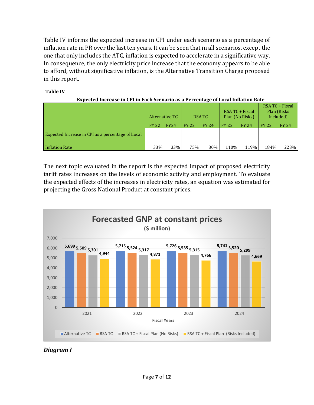Table IV informs the expected increase in CPI under each scenario as a percentage of inflation rate in PR over the last ten years. It can be seen that in all scenarios, except the one that only includes the ATC, inflation is expected to accelerate in a significative way. In consequence, the only electricity price increase that the economy appears to be able to afford, without significative inflation, is the Alternative Transition Charge proposed in this report.

#### **Table IV**

| -Expected Increase in CPI in Each Scenario as a Percentage of Local Inflation Rate |                |             |               |              |                                    |              |                                              |              |
|------------------------------------------------------------------------------------|----------------|-------------|---------------|--------------|------------------------------------|--------------|----------------------------------------------|--------------|
|                                                                                    | Alternative TC |             | <b>RSA TC</b> |              | RSA TC + Fiscal<br>Plan (No Risks) |              | RSA TC + Fiscal<br>Plan (Risks)<br>Included) |              |
|                                                                                    | <b>FY 22</b>   | <b>FY24</b> | <b>FY 22</b>  | <b>FY 24</b> | <b>FY 22</b>                       | <b>FY 24</b> | <b>FY 22</b>                                 | <b>FY 24</b> |
| Expected Increase in CPI as a percentage of Local                                  |                |             |               |              |                                    |              |                                              |              |
| Inflation Rate                                                                     | 33%            | 33%         | 75%           | 80%          | 110%                               | 119%         | 184%                                         | 223%         |

**Expected Increase in CPI in Each Scenario as a Percentage of Local Inflation Rate**

The next topic evaluated in the report is the expected impact of proposed electricity tariff rates increases on the levels of economic activity and employment. To evaluate the expected effects of the increases in electricity rates, an equation was estimated for projecting the Gross National Product at constant prices.



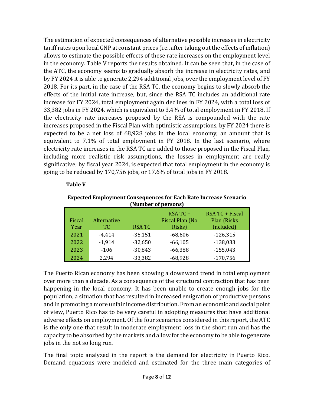The estimation of expected consequences of alternative possible increases in electricity tariff rates upon local GNP at constant prices (i.e., after taking out the effects of inflation) allows to estimate the possible effects of these rate increases on the employment level in the economy. Table V reports the results obtained. It can be seen that, in the case of the ATC, the economy seems to gradually absorb the increase in electricity rates, and by FY 2024 it is able to generate 2,294 additional jobs, over the employment level of FY 2018. For its part, in the case of the RSA TC, the economy begins to slowly absorb the effects of the initial rate increase, but, since the RSA TC includes an additional rate increase for FY 2024, total employment again declines in FY 2024, with a total loss of 33,382 jobs in FY 2024, which is equivalent to 3.4% of total employment in FY 2018. If the electricity rate increases proposed by the RSA is compounded with the rate increases proposed in the Fiscal Plan with optimistic assumptions, by FY 2024 there is expected to be a net loss of 68,928 jobs in the local economy, an amount that is equivalent to 7.1% of total employment in FY 2018. In the last scenario, where electricity rate increases in the RSA TC are added to those proposed in the Fiscal Plan, including more realistic risk assumptions, the losses in employment are really significative; by fiscal year 2024, is expected that total employment in the economy is going to be reduced by 170,756 jobs, or 17.6% of total jobs in FY 2018.

#### **Table V**

| <b>Expected Employment Consequences for Each Rate Increase Scenario</b> |                     |  |
|-------------------------------------------------------------------------|---------------------|--|
|                                                                         | (Number of persons) |  |

| Fiscal<br>Year | Alternative<br>TC. | <b>RSATC</b>           | $RSATC +$<br>Fiscal Plan (No<br>Risks) | <b>RSA TC + Fiscal</b><br>Plan (Risks<br>Included) |
|----------------|--------------------|------------------------|----------------------------------------|----------------------------------------------------|
| 2021           | $-4,414$           | $-35,151$              | $-68,606$                              | $-126,315$                                         |
| 2022<br>2023   | $-1,914$           | $-32,650$              | $-66,105$                              | $-138,033$                                         |
| 2024           | $-106$<br>2,294    | $-30,843$<br>$-33,382$ | $-66,388$<br>$-68,928$                 | $-155,043$<br>$-170,756$                           |

The Puerto Rican economy has been showing a downward trend in total employment over more than a decade. As a consequence of the structural contraction that has been happening in the local economy. It has been unable to create enough jobs for the population, a situation that has resulted in increased emigration of productive persons and in promoting a more unfair income distribution. From an economic and social point of view, Puerto Rico has to be very careful in adopting measures that have additional adverse effects on employment. Of the four scenarios considered in this report, the ATC is the only one that result in moderate employment loss in the short run and has the capacity to be absorbed by the markets and allow for the economy to be able to generate jobs in the not so long run.

The final topic analyzed in the report is the demand for electricity in Puerto Rico. Demand equations were modeled and estimated for the three main categories of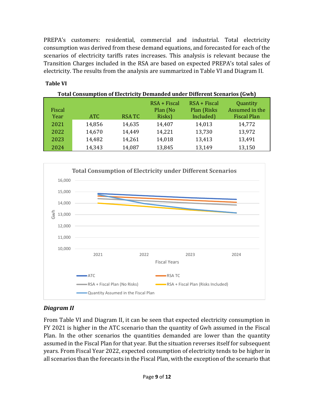PREPA's customers: residential, commercial and industrial. Total electricity consumption was derived from these demand equations, and forecasted for each of the scenarios of electricity tariffs rates increases. This analysis is relevant because the Transition Charges included in the RSA are based on expected PREPA's total sales of electricity. The results from the analysis are summarized in Table VI and Diagram II.

#### **Table VI**

| <b>Total Consumption of Electricity Demanded under Different Scenarios (Gwh)</b> |            |              |                                      |                                            |                                                  |  |  |  |  |
|----------------------------------------------------------------------------------|------------|--------------|--------------------------------------|--------------------------------------------|--------------------------------------------------|--|--|--|--|
| Fiscal<br>Year                                                                   | <b>ATC</b> | <b>RSATC</b> | $RSA + Fiscal$<br>Plan (No<br>Risks) | $RSA + Fixed$<br>Plan (Risks)<br>Included) | Quantity<br>Assumed in the<br><b>Fiscal Plan</b> |  |  |  |  |
| 2021                                                                             | 14,856     | 14,635       | 14,407                               | 14,013                                     | 14,772                                           |  |  |  |  |
| 2022                                                                             | 14,670     | 14,449       | 14,221                               | 13,730                                     | 13,972                                           |  |  |  |  |
| 2023                                                                             | 14,482     | 14,261       | 14,018                               | 13,413                                     | 13,491                                           |  |  |  |  |
| 2024                                                                             | 14,343     | 14,087       | 13,845                               | 13,149                                     | 13,150                                           |  |  |  |  |



## *Diagram II*

From Table VI and Diagram II, it can be seen that expected electricity consumption in FY 2021 is higher in the ATC scenario than the quantity of Gwh assumed in the Fiscal Plan. In the other scenarios the quantities demanded are lower than the quantity assumed in the Fiscal Plan for that year. But the situation reverses itself for subsequent years. From Fiscal Year 2022, expected consumption of electricity tends to be higher in all scenarios than the forecasts in the Fiscal Plan, with the exception of the scenario that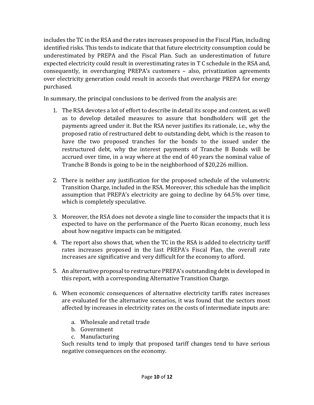includes the TC in the RSA and the rates increases proposed in the Fiscal Plan, including identified risks. This tends to indicate that that future electricity consumption could be underestimated by PREPA and the Fiscal Plan. Such an underestimation of future expected electricity could result in overestimating rates in T C schedule in the RSA and, consequently, in overcharging PREPA's customers – also, privatization agreements over electricity generation could result in accords that overcharge PREPA for energy purchased.

In summary, the principal conclusions to be derived from the analysis are:

- 1. The RSA devotes a lot of effort to describe in detail its scope and content, as well as to develop detailed measures to assure that bondholders will get the payments agreed under it. But the RSA never justifies its rationale, i.e., why the proposed ratio of restructured debt to outstanding debt, which is the reason to have the two proposed tranches for the bonds to the issued under the restructured debt, why the interest payments of Tranche B Bonds will be accrued over time, in a way where at the end of 40 years the nominal value of Tranche B Bonds is going to be in the neighborhood of \$20,226 million.
- 2. There is neither any justification for the proposed schedule of the volumetric Transition Charge, included in the RSA. Moreover, this schedule has the implicit assumption that PREPA's electricity are going to decline by 64.5% over time, which is completely speculative.
- 3. Moreover, the RSA does not devote a single line to consider the impacts that it is expected to have on the performance of the Puerto Rican economy, much less about how negative impacts can be mitigated.
- 4. The report also shows that, when the TC in the RSA is added to electricity tariff rates increases proposed in the last PREPA's Fiscal Plan, the overall rate increases are significative and very difficult for the economy to afford.
- 5. An alternative proposal to restructure PREPA's outstanding debt is developed in this report, with a corresponding Alternative Transition Charge.
- 6. When economic consequences of alternative electricity tariffs rates increases are evaluated for the alternative scenarios, it was found that the sectors most affected by increases in electricity rates on the costs of intermediate inputs are:
	- a. Wholesale and retail trade
	- b. Government
	- c. Manufacturing

Such results tend to imply that proposed tariff changes tend to have serious negative consequences on the economy.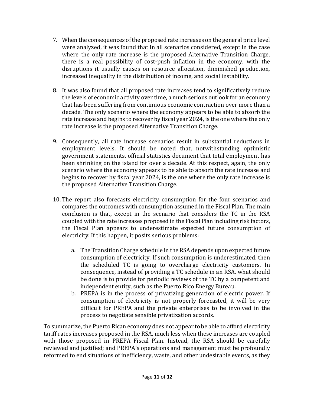- 7. When the consequences of the proposed rate increases on the general price level were analyzed, it was found that in all scenarios considered, except in the case where the only rate increase is the proposed Alternative Transition Charge, there is a real possibility of cost-push inflation in the economy, with the disruptions it usually causes on resource allocation, diminished production, increased inequality in the distribution of income, and social instability.
- 8. It was also found that all proposed rate increases tend to significatively reduce the levels of economic activity over time, a much serious outlook for an economy that has been suffering from continuous economic contraction over more than a decade. The only scenario where the economy appears to be able to absorb the rate increase and begins to recover by fiscal year 2024, is the one where the only rate increase is the proposed Alternative Transition Charge.
- 9. Consequently, all rate increase scenarios result in substantial reductions in employment levels. It should be noted that, notwithstanding optimistic government statements, official statistics document that total employment has been shrinking on the island for over a decade. At this respect, again, the only scenario where the economy appears to be able to absorb the rate increase and begins to recover by fiscal year 2024, is the one where the only rate increase is the proposed Alternative Transition Charge.
- 10. The report also forecasts electricity consumption for the four scenarios and compares the outcomes with consumption assumed in the Fiscal Plan. The main conclusion is that, except in the scenario that considers the TC in the RSA coupled with the rate increases proposed in the Fiscal Plan including risk factors, the Fiscal Plan appears to underestimate expected future consumption of electricity. If this happen, it posits serious problems:
	- a. The Transition Charge schedule in the RSA depends upon expected future consumption of electricity. If such consumption is underestimated, then the scheduled TC is going to overcharge electricity customers. In consequence, instead of providing a TC schedule in an RSA, what should be done is to provide for periodic reviews of the TC by a competent and independent entity, such as the Puerto Rico Energy Bureau.
	- b. PREPA is in the process of privatizing generation of electric power. If consumption of electricity is not properly forecasted, it will be very difficult for PREPA and the private enterprises to be involved in the process to negotiate sensible privatization accords.

To summarize, the Puerto Rican economy does not appear to be able to afford electricity tariff rates increases proposed in the RSA, much less when these increases are coupled with those proposed in PREPA Fiscal Plan. Instead, the RSA should be carefully reviewed and justified; and PREPA's operations and management must be profoundly reformed to end situations of inefficiency, waste, and other undesirable events, as they